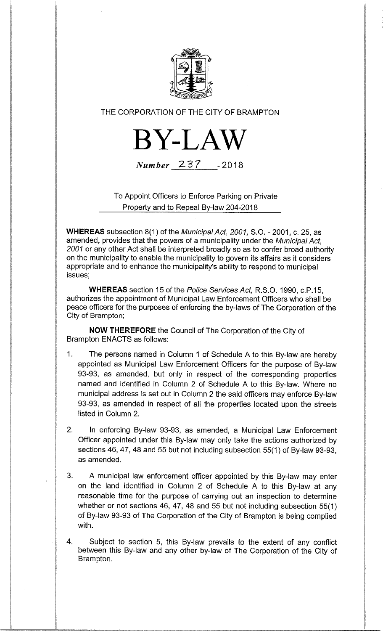

# THE CORPORATION OF THE CITY OF BRAMPTON



Number 237 -2018

To Appoint Officers to Enforce Parking on Private Property and to Repeal By-law 204-2018

WHEREAS subsection 8(1) of the Municipal Act, 2001, S.O. - 2001, c. 25, as amended, provides that the powers of a municipality under the Municipal Act, 2001 or any other Act shall be interpreted broadly so as to confer broad authority on the municipality to enable the municipality to govern its affairs as it considers appropriate and to enhance the municipality's ability to respond to municipal issues;

WHEREAS section 15 of the Police Services Act, R.S.O. 1990, c.P.15, authorizes the appointment of Municipal Law Enforcement Officers who shall be peace officers for the purposes of enforcing the by-laws of The Corporation of the City of Brampton;

NOW THEREFORE the Council of The Corporation of the City of Brampton ENACTS as follows:

- 1. The persons named in Column 1 of Schedule A to this By-law are hereby appointed as Municipal Law Enforcement Officers for the purpose of By-law 93-93, as amended, but only in respect of the corresponding properties named and identified in Column 2 of Schedule A to this By-law. Where no municipal address is set out in Column 2 the said officers may enforce By-law 93-93, as amended in respect of all the properties located upon the streets listed in Column 2.
- 2. In enforcing By-law 93-93, as amended, a Municipal Law Enforcement Officer appointed under this By-law may only take the actions authorized by sections 46, 47, 48 and 55 but not including subsection 55(1) of By-law 93-93, as amended.
- 3. A municipal law enforcement officer appointed by this By-law may enter on the land identified in Column 2 of Schedule A to this By-law at any reasonable time for the purpose of carrying out an inspection to determine whether or not sections 46, 47, 48 and 55 but not including subsection 55(1) of By-law 93-93 of The Corporation of the City of Brampton is being complied with.

4. Subject to section 5, this By-law prevails to the extent of any conflict between this By-law and any other by-law of The Corporation of the City of Brampton.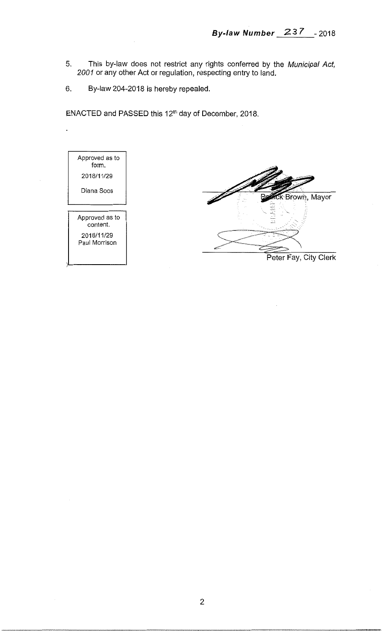- 5. This by-law does not restrict any rights conferred by the Municipal Act, 2001 or any other Act or regulation, respecting entry to land.
- 6. By-law 204-2018 is hereby repealed.

ENACTED and PASSED this 12th day of December, 2018.

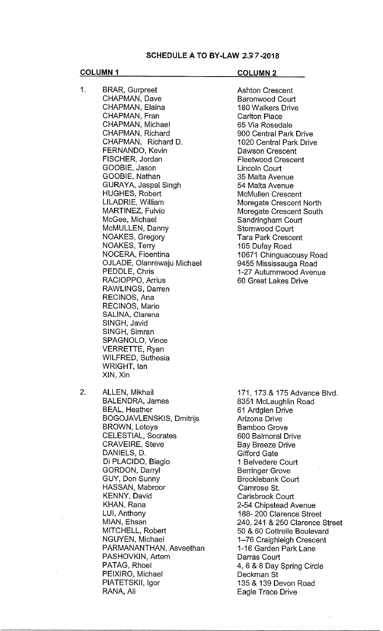## SCHEDULE A TO BY-LAW 237-2018

# COLUMN 1 COLUMN 2

1. BRAR, Gurpreet CHAPMAN, Dave CHAPMAN, Elaina CHAPMAN, Fran CHAPMAN, Michael CHAPMAN, Richard CHAPMAN, Richard D. FERNANDO, Kevin FISCHER, Jordan GOOBIE, Jason GOOBIE, Nathan GURAYA, Jaspal Singh HUGHES, Robert LILADRIE, William MARTINEZ, Fulvio McGee, Michael McMULLEN, Danny NOAKES, Gregory NOAKES, Terry NOCERA, Fioentina OJLADE, Olanrewaju Michael PEDDLE, Chris RACIOPPO, Arrius RAWLINGS, Darren RECINOS, Ana RECINOS, Mario SALINA, Clarena SINGH, Javid SINGH, Simran SPAGNOLO, Vince VERRETTE, Ryan WILFRED, Suthesia WRIGHT, Ian XIN, Xin

Ashton Crescent Baronwood Court 180 Walkers Drive Carlton Place 65 Via Rosedale 900 Central Park Drive 1020 Central Park Drive Dawson Crescent Fleetwood Crescent Lincoln Court 35 Malta Avenue 54 Malta Avenue McMullen Crescent Moregate Crescent North Moregate Crescent South Sandringham Court Stornwood Court Tara Park Crescent 105 Dufay Road 10671 Chinguacousy Road 9455 Mississauga Road 1-27 Autumnwood Avenue 60 Great Lakes Drive

2. ALLEN, Mikhail BALENDRA, James BEAL, Heather BOGOJAVLENSKIS, Dmitrijs BROWN, Lotoya CELESTIAL, Socrates CRAVEIRE, Steve DANIELS, D. Di PLACIDO, Biagio GORDON, Darryl GUY, Don Sunny HASSAN, Mabroor KENNY, David KHAN, Rana LUI, Anthony MIAN, Ehsan MITCHELL, Robert NGUYEN, Michael PARMANANTHAN, Asveethan PASHOVKIN, Artem PATAG, Rhoel PEIXIRO, Michael PIATETSKII, Igor RANA, Ali

171, 173 & 175 Advance Blvd. 8351 McLaughlin Road 61 Ardglen Drive Arizona Drive Bamboo Grove 600 Balmoral Drive Bay Breeze Drive Gifford Gate 1 Belvedere Court Berringer Grove Brocklebank Court Camrose St. Carisbrook Court 2-54 Chipstead Avenue 188- 200 Clarence Street 240, 241 & 250 Clarence Street 50 & 60 Cottrelle Boulevard 1-76 Craighleigh Crescent 1-16 Garden Park Lane Darras Court 4, 6 & 8 Day Spring Circle Deckman St 135 & 139 Devon Road Eagle Trace Drive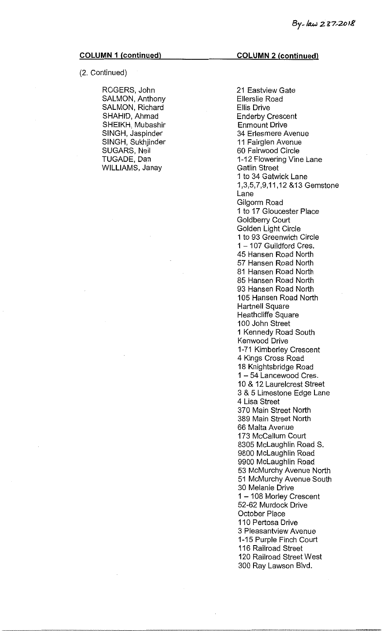# (2. Continued)

ROGERS, John SALMON, Anthony SALMON, Richard SHAHID, Ahmad SHEIKH, Mubashir SINGH, Jaspinder SINGH, Sukhjinder SUGARS, Neil TUGADE, Dan WILLIAMS, Janay

### COLUMN 2 (continued)

21 Eastview Gate Ellerslie Road Ellis Drive Enderby Crescent Enmount Drive 34 Erlesmere Avenue 11 Fairglen Avenue 60 Fairwood Circle 1-12 Flowering Vine Lane Gatlin Street 1 to 34 Gatwick Lane 1,3,5,7,9,11,12 &13 Gemstone Lane Gilgorm Road 1 to 17 Gloucester Place Goldberry Court Golden Light Circle 1 to 93 Greenwich Circle 1 — 107 Guildford Cres. 45 Hansen Road North 57 Hansen Road North 81 Hansen Road North 85 Hansen Road North 93 Hansen Road North 105 Hansen Road North Hartnell Square Heathcliffe Square 100 John Street 1 Kennedy Road South Kenwood Drive 1-71 Kimberley Crescent 4 Kings Cross Road 18 Knightsbridge Road 1 — 54 Lancewood Cres. 10 & 12 Laurelcrest Street 3 & 5 Limestone Edge Lane 4 Lisa Street 370 Main Street North 389 Main Street North 66 Malta Avenue 173 McCallum Court 8305 McLaughlin Road S. 9800 McLaughlin Road 9900 McLaughlin Road 53 McMurchy Avenue North 51 McMurchy Avenue South 30 Melanie Drive 1 —108 Morley Crescent 52-62 Murdock Drive October Place 110 Pertosa Drive 3 Pleasantview Avenue 1-15 Purple Finch Court 116 Railroad Street 120 Railroad Street West 300 Ray Lawson Blvd.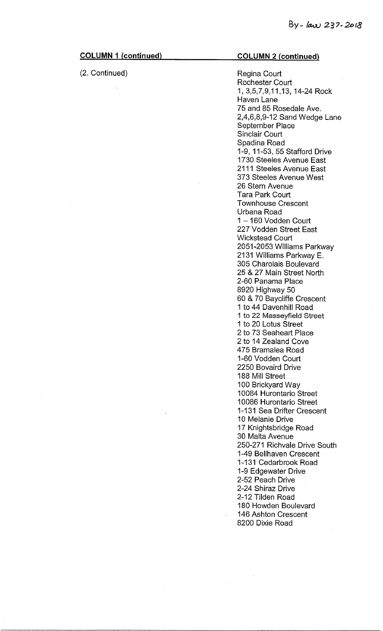$\sim$ 

| <b>COLUMN 1 (continued)</b> | <b>COLUMN 2 (continued)</b>                                                                                                                                                                                                                                                                                                                                                                                                                                                                                                                                                                                                                                                                                                                                                                                                                                                                                                                                                                                                                                                                                                                         |
|-----------------------------|-----------------------------------------------------------------------------------------------------------------------------------------------------------------------------------------------------------------------------------------------------------------------------------------------------------------------------------------------------------------------------------------------------------------------------------------------------------------------------------------------------------------------------------------------------------------------------------------------------------------------------------------------------------------------------------------------------------------------------------------------------------------------------------------------------------------------------------------------------------------------------------------------------------------------------------------------------------------------------------------------------------------------------------------------------------------------------------------------------------------------------------------------------|
| (2. Continued)              | Regina Court<br><b>Rochester Court</b><br>1, 3,5,7,9,11,13, 14-24 Rock<br>Haven Lane<br>75 and 85 Rosedale Ave.<br>2,4,6,8,9-12 Sand Wedge Lane<br>September Place<br><b>Sinclair Court</b><br>Spadina Road<br>1-9, 11-53, 55 Stafford Drive<br>1730 Steeles Avenue East<br>2111 Steeles Avenue East<br>373 Steeles Avenue West<br>26 Stern Avenue<br><b>Tara Park Court</b><br><b>Townhouse Crescent</b><br>Urbana Road<br>1-160 Vodden Court<br>227 Vodden Street East<br><b>Wickstead Court</b><br>2051-2053 Williams Parkway<br>2131 Williams Parkway E.<br>305 Charolais Boulevard<br>25 & 27 Main Street North<br>2-60 Panama Place<br>8920 Highway 50<br>60 & 70 Baycliffe Crescent<br>1 to 44 Davenhill Road<br>1 to 22 Masseyfield Street<br>1 to 20 Lotus Street<br>2 to 73 Seaheart Place<br>2 to 14 Zealand Cove<br>475 Bramalea Road<br>1-60 Vodden Court<br>2250 Bovaird Drive<br>188 Mill Street<br>100 Brickyard Way<br>10084 Hurontario Street<br>10086 Hurontario Street<br>1-131 Sea Drifter Crescent<br>10 Melanie Drive<br>17 Knightsbridge Road<br>30 Malta Avenue<br>250-271 Richvale Drive South<br>1-49 Bellhaven Crescent |
|                             | 1-131 Cedarbrook Road<br>1-9 Edgewater Drive<br>2-52 Peach Drive<br>2-24 Shiraz Drive<br>2-12 Tilden Road<br>180 Howden Boulevard<br>146 Ashton Crescent<br>8200 Dixie Road                                                                                                                                                                                                                                                                                                                                                                                                                                                                                                                                                                                                                                                                                                                                                                                                                                                                                                                                                                         |
|                             |                                                                                                                                                                                                                                                                                                                                                                                                                                                                                                                                                                                                                                                                                                                                                                                                                                                                                                                                                                                                                                                                                                                                                     |

 $\label{eq:2.1} \frac{1}{\sqrt{2}}\int_{\mathbb{R}^3}\frac{1}{\sqrt{2}}\left(\frac{1}{\sqrt{2}}\right)^2\left(\frac{1}{\sqrt{2}}\right)^2\left(\frac{1}{\sqrt{2}}\right)^2\left(\frac{1}{\sqrt{2}}\right)^2.$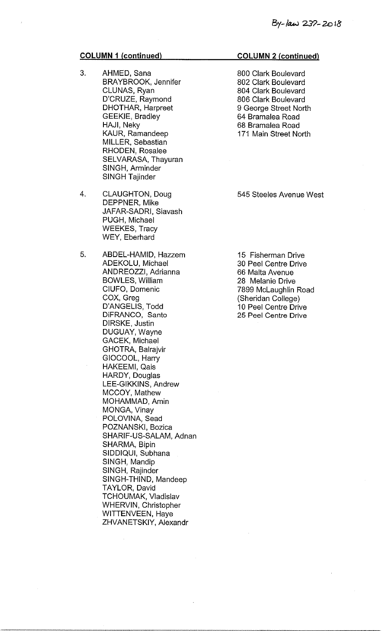- 3. AHMED, Sana BRAYBROOK, Jennifer CLUNAS, Ryan D'CRUZE, Raymond DHOTHAR, Harpreet GEEKIE, Bradley HAJI, Neky KAUR, Ramandeep MILLER, Sebastian RHODEN, Rosalee SELVARASA, Thayuran SINGH, Arminder SINGH Tajinder
- 4. CLAUGHTON, Doug DEPPNER, Mike JAFAR-SADRI, Siavash PUGH, Michael WEEKES, Tracy WEY, Eberhard
- 5. ABDEL-HAMID, Hazzem ADEKOLU, Michael ANDREOZZI, Adrianna BOWLES, William CIUFO, Domenic COX, Greg D'ANGELIS, Todd DiFRANCO, Santo DIRSKE, Justin DUGUAY, Wayne GACEK, Michael GHOTRA, Balrajvir GIOCOOL, Harry HAKEEMI, Qais HARDY, Douglas LEE-GIKKINS, Andrew MCCOY, Mathew MOHAMMAD, Amin MONGA, Vinay POLOVINA, Sead POZNANSKI, Bozica SHARIF-US-SALAM, Adnan SHARMA, Bipin SIDDIQUI, Subhana SINGH, Mandip SINGH, Rajinder SINGH-THIND, Mandeep TAYLOR, David TCHOUMAK, Vladislav WHERVIN, Christopher WITTENVEEN, Haye ZHVANETSKIY, Alexandr

### COLUMN 2 (continued)

800 Clark Boulevard 802 Clark Boulevard 804 Clark Boulevard 806 Clark Boulevard 9 George Street North 64 Bramalea Road 68 Bramalea Road 171 Main Street North

545 Steeles Avenue West

15 Fisherman Drive 30 Peel Centre Drive 66 Malta Avenue 28 Melanie Drive 7899 McLaughlin Road (Sheridan College) 10 Peel Centre Drive 25 Peel Centre Drive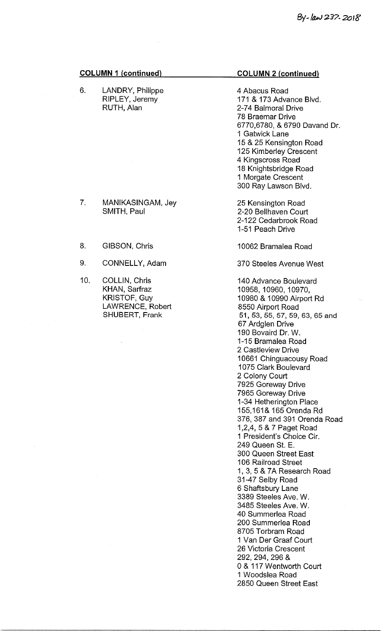6. LANDRY, Philippe RIPLEY, Jeremy RUTH, Alan

7. MANIKASINGAM, Jey SMITH, Paul

8. GIBSON, Chris

10. COLLIN, Chris

9. CONNELLY, Adam

KHAN, Sarfraz KRISTOF, Guy

LAWRENCE, Robert SHUBERT, Frank

# COLUMN 2 (continued)

4 Abacus Road 171 & 173 Advance Blvd. 2-74 Balmoral Drive 78 Braemar Drive 6770,6780, & 6790 Davand Dr. 1 Gatwick Lane 15 & 25 Kensington Road 125 Kimberley Crescent 4 Kingscross Road 18 Knightsbridge Road 1 Morgate Crescent 300 Ray Lawson Blvd.

25 Kensington Road 2-20 Bellhaven Court 2-122 Cedarbrook Road 1-51 Peach Drive

10062 Bramalea Road

370 Steeles Avenue West

140 Advance Boulevard 10958, 10960, 10970, 10980 & 10990 Airport Rd 8550 Airport Road 51, 53, 55, 57, 59, 63, 65 and 67 Ardglen Drive 190 Bovaird Dr. W. 1-15 Bramalea Road 2 Castleview Drive 10661 Chinguacousy Road 1075 Clark Boulevard 2 Colony Court 7925 Goreway Drive 7965 Goreway Drive 1-34 Hetherington Place 155,161& 165 Orenda Rd 376, 387 and 391 Orenda Road 1,2,4, 5 & 7 Paget Road 1 President's Choice Cir. 249 Queen St. E. 300 Queen Street East 106 Railroad Street 1, 3, 5 & 7A Research Road 31-47 Selby Road 6 Shaftsbury Lane 3389 Steeles Ave. W. 3485 Steeles Ave. W. 40 Summerlea Road 200 Summerlea Road 8705 Torbram Road 1 Van Der Graaf Court 26 Victoria Crescent 292, 294, 296 & 0 & 117 Wentworth Court 1 Woodslea Road 2850 Queen Street East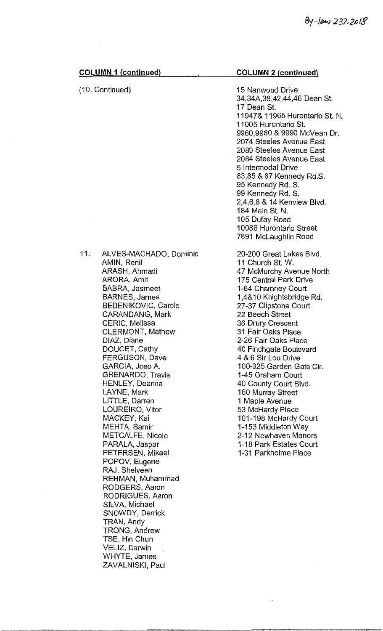| <b>COLUMN 1 (continued)</b>                                                                                                                                                                                                                                                                                                                                                                                                                                                                                                                                                                                                                                                                                               | <b>COLUMN 2 (continued)</b>                                                                                                                                                                                                                                                                                                                                                                                                                                                                                                                                                          |
|---------------------------------------------------------------------------------------------------------------------------------------------------------------------------------------------------------------------------------------------------------------------------------------------------------------------------------------------------------------------------------------------------------------------------------------------------------------------------------------------------------------------------------------------------------------------------------------------------------------------------------------------------------------------------------------------------------------------------|--------------------------------------------------------------------------------------------------------------------------------------------------------------------------------------------------------------------------------------------------------------------------------------------------------------------------------------------------------------------------------------------------------------------------------------------------------------------------------------------------------------------------------------------------------------------------------------|
| (10. Continued)                                                                                                                                                                                                                                                                                                                                                                                                                                                                                                                                                                                                                                                                                                           | 15 Nanwood Drive<br>34,34A,38,42,44,46 Dean St.<br>17 Dean St.<br>11947& 11965 Hurontario St. N.<br>11005 Hurontario St.<br>9960,9980 & 9990 McVean Dr.<br>2074 Steeles Avenue East<br>2080 Steeles Avenue East<br>2084 Steeles Avenue East<br>5 Intermodal Drive<br>83,85 & 87 Kennedy Rd.S.<br>95 Kennedy Rd. S.<br>99 Kennedy Rd. S.<br>2,4,6,8 & 14 Kenview Blvd.<br>184 Main St. N.<br>105 Dufay Road<br>10086 Hurontario Street<br>7891 McLaughlin Road                                                                                                                        |
| 11.<br>ALVES-MACHADO, Dominic<br>AMIN, Renil<br>ARASH, Ahmadi<br>ARORA, Amit<br>BABRA, Jasmeet<br><b>BARNES, James</b><br>BEDENIKOVIC, Carole<br>CARANDANG, Mark<br>CERIC, Melissa<br><b>CLERMONT, Mathew</b><br>DIAZ, Diane<br>DOUCET, Cathy<br>FERGUSON, Dave<br>GARCIA, Joao A.<br><b>GRENARDO, Travis</b><br><b>HENLEY, Deanna</b><br>LAYNE, Mark<br>LITTLE, Darren<br>LOUREIRO, Vitor<br>MACKEY, Kai<br>MEHTA, Samir<br>METCALFE, Nicole<br>PARALA, Jaspar<br>PETERSEN, Mikael<br>POPOV, Eugene<br>RAJ, Shelveen<br>REHMAN, Muhammad<br>RODGERS, Aaron<br>RODRIGUES, Aaron<br>SILVA, Michael<br>SNOWDY, Derrick<br>TRAN, Andy<br>TRONG, Andrew<br>TSE, Hin Chun<br>VELIZ, Darwin<br>WHYTE, James<br>ZAVALNISKI, Paul | 20-200 Great Lakes Blvd.<br>11 Church St. W.<br>47 McMurchy Avenue North<br>175 Central Park Drive<br>1-64 Chamney Court<br>1,4&10 Knightsbridge Rd.<br>27-37 Clipstone Court<br>22 Beech Street<br>36 Drury Crescent<br>31 Fair Oaks Place<br>2-26 Fair Oaks Place<br>40 Finchgate Boulevard<br>4 & 6 Sir Lou Drive<br>100-325 Garden Gate Cir.<br>1-45 Graham Court<br>40 County Court Blvd.<br>160 Murray Street<br>1 Maple Avenue<br>53 McHardy Place<br>101-198 McHardy Court<br>1-153 Middleton Way<br>2-12 Newhaven Manors<br>1-18 Park Estates Court<br>1-31 Parkholme Place |

 $\hat{\mathcal{A}}$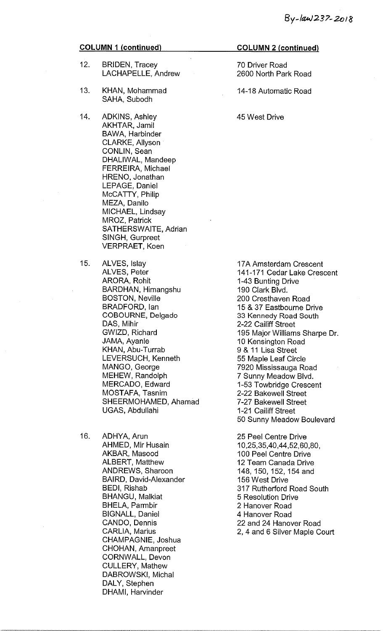- 12. BRIDEN, Tracey LACHAPELLE, Andrew
- 13. KHAN, Mohammad SAHA, Subodh
- 14. ADKINS, Ashley AKHTAR, Jamil BAWA, Harbinder CLARKE, Allyson CONLIN, Sean DHALIWAL, Mandeep FERREIRA, Michael HRENO, Jonathan LEPAGE, Daniel McCATTY, Philip MEZA, Danilo MICHAEL, Lindsay MROZ, Patrick SATHERSWAITE, Adrian SINGH, Gurpreet VERPRAET, Koen
- 15. ALVES, Islay ALVES, Peter ARORA, Rohit BARDHAN, Himangshu BOSTON, Neville BRADFORD, Ian COBOURNE, Delgado DAS, Mihir GWIZD, Richard JAMA, Ayanle KHAN, Abu-Turrab LEVERSUCH, Kenneth MANGO, George MEHEW, Randolph MERCADO, Edward MOSTAFA, Tasnim SHEERMOHAMED, Ahamad UGAS, Abdullahi
- 16. ADHYA, Arun AHMED, Mir Husain AKBAR, Masood ALBERT, Matthew ANDREWS, Sharoon BAIRD, David-Alexander BEDI, Rishab BHANGU, Malkiat BHELA, Parmbir BIGNALL, Daniel CANDO, Dennis CARLIA, Marius CHAMPAGNIE, Joshua CHOHAN, Amanpreet CORNWALL, Devon CULLERY, Mathew DABROWSKI, Michal DALY, Stephen DHAMI, Harvinder

### COLUMN 2 (continued)

70 Driver Road 2600 North Park Road

14-18 Automatic Road

45 West Drive

17A Amsterdam Crescent 141-171 Cedar Lake Crescent 1-43 Bunting Drive 190 Clark Blvd. 200 Cresthaven Road 15 & 37 Eastbourne Drive 33 Kennedy Road South 2-22 Cailiff Street 195 Major Williams Sharpe Dr. 10 Kensington Road 9 & 11 Lisa Street 55 Maple Leaf Circle 7920 Mississauga Road 7 Sunny Meadow Blvd. 1-53 Towbridge Crescent 2-22 Bakewell Street 7-27 Bakewell Street 1-21 Cailiff Street 50 Sunny Meadow Boulevard

25 Peel Centre Drive 10,25,35,40,44,52,60,80, 100 Peel Centre Drive 12 Team Canada Drive 148, 150, 152, 154 and 156 West Drive 317 Rutherford Road South 5 Resolution Drive 2 Hanover Road 4 Hanover Road 22 and 24 Hanover Road 2, 4 and 6 Silver Maple Court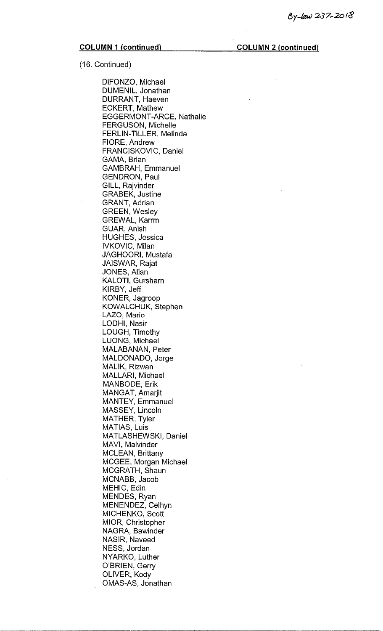(16. Continued)

DiFONZO, Michael DUMENIL, Jonathan DURRANT, Haeven ECKERT, Mathew EGGERMONT-ARCE, Nathalie FERGUSON, Michelle FERLIN-TILLER, Melinda FIORE, Andrew FRANCISKOVIC, Daniel GAMA, Brian GAMBRAH, Emmanuel GENDRON, Paul GILL, Rajvinder GRABEK, Justine GRANT, Adrian GREEN, Wesley GREWAL, Karrm GUAR, Anish HUGHES, Jessica IVKOVIC, Milan JAGHOORI, Mustafa JAISWAR, Rajat JONES, Allan KALOTI, Gursharn KIRBY, Jeff KONER, Jagroop KOWALCHUK, Stephen LAZO, Mario LODHI, Nasir LOUGH, Timothy LUONG, Michael MALABANAN, Peter MALDONADO, Jorge MALIK, Rizwan MALLARI, Michael MANBODE, Erik MANGAT, Amarjit MANTEY, Emmanuel MASSEY, Lincoln MATHER, Tyler MATIAS, Luis MATLASHEWSKI, Daniel MAVI, Malvinder MCLEAN, Brittany MCGEE, Morgan Michael MCGRATH, Shaun MCNABB, Jacob MEHIC, Edin MENDES, Ryan MENENDEZ, Celhyn MICHENKO, Scott MIOR, Christopher NAGRA, Bawinder NASIR, Naveed NESS, Jordan NYARKO, Luther O'BRIEN, Gerry OLIVER, Kody OMAS-AS, Jonathan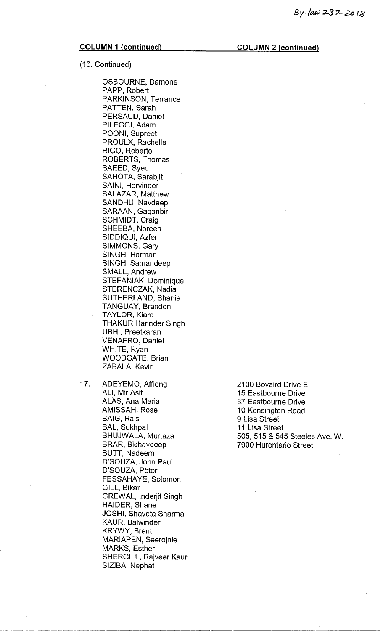(16. Continued)

OSBOURNE, Damone PAPP, Robert PARKINSON, Terrance PATTEN, Sarah PERSAUD, Daniel PILEGGI, Adam POONI, Supreet PROULX, Rachelle RIGO, Roberto ROBERTS, Thomas SAEED, Syed SAHOTA, Sarabjit SAINI, Harvinder SALAZAR, Matthew SANDHU, Navdeep SARAAN, Gaganbir SCHMIDT, Craig SHEEBA, Noreen SIDDIQUI, Azfer SIMMONS, Gary SINGH, Harman SINGH, Samandeep SMALL, Andrew STEFANIAK, Dominique STERENCZAK, Nadia SUTHERLAND, Shania TANGUAY, Brandon TAYLOR, Kiara THAKUR Harinder Singh UBHI, Preetkaran VENAFRO, Daniel WHITE, Ryan WOODGATE, Brian ZABALA, Kevin

17. ADEYEMO, Affiong ALI, Mir Asif ALAS, Ana Maria AMISSAH, Rose BAIG, Rais BAL, Sukhpal BHUJWALA, Murtaza BRAR, Bishavdeep BUTT, Nadeem D'SOUZA, John Paul D'SOUZA, Peter FESSAHAYE, Solomon GILL, Bikar GREWAL, Inderjit Singh HAIDER, Shane JOSHI, Shaveta Sharma KAUR, Balwinder KRYWY, Brent MARIAPEN, Seerojnie MARKS, Esther SHERGILL, Rajveer Kaur SIZIBA, Nephat

2100 Bovaird Drive E. 15 Eastbourne Drive 37 Eastbourne Drive 10 Kensington Road 9 Lisa Street 11 Lisa Street 505, 515 & 545 Steeles Ave. W. 7900 Hurontario Street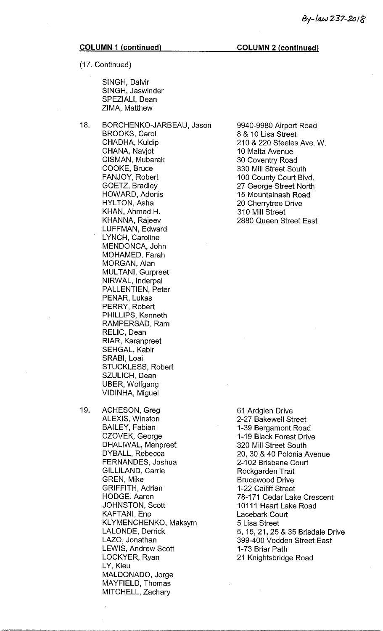(17. Continued)

SINGH, Dalvir SINGH, Jaswinder SPEZIALI, Dean ZIMA, Matthew

18. BORCHENKO-JARBEAU, Jason BROOKS, Carol CHADHA, Kuldip GHANA, Navjot CISMAN, Mubarak COOKE, Bruce FANJOY, Robert GOETZ, Bradley HOWARD, Adonis HYLTON, Asha KHAN, Ahmed H. KHANNA, Rajeev LUFFMAN, Edward LYNCH, Caroline MENDONCA, John MOHAMED, Farah MORGAN, Alan MULTANI, Gurpreet NIRWAL, Inderpal PALLENTIEN, Peter PENAR, Lukas PERRY, Robert PHILLIPS, Kenneth RAMPERSAD, Ram RELIC, Dean RIAR, Karanpreet SEHGAL, Kabir SRABI, Loai STUCKLESS, Robert SZULICH, Dean UBER, Wolfgang VIDINHA, Miguel

19. ACHESON, Greg ALEXIS, Winston BAILEY, Fabian CZOVEK, George DHALIWAL, Manpreet DYBALL, Rebecca FERNANDES, Joshua GILLILAND, Carrie GREN, Mike GRIFFITH, Adrian HODGE, Aaron JOHNSTON, Scott KAFTAN!, Eno KLYMENCHENKO, Maksym LALONDE, Derrick LAZO, Jonathan LEWIS, Andrew Scott LOCKYER, Ryan LY, Kieu MALDONADO, Jorge MAYFIELD, Thomas MITCHELL, Zachary

9940-9980 Airport Road 8 & 10 Lisa Street 210 & 220 Steeles Ave. W. 10 Malta Avenue 30 Coventry Road 330 Mill Street South 100 County Court Blvd. 27 George Street North 15 Mountainash Road 20 Cherrytree Drive 310 Mill Street 2880 Queen Street East

61 Ardglen Drive 2-27 Bakewell Street 1-39 Bergamont Road 1-19 Black Forest Drive 320 Mill Street South 20, 30 & 40 Polonia Avenue 2-102 Brisbane Court Rockgarden Trail Brucewood Drive 1-22 Cailiff Street 78-171 Cedar Lake Crescent 10111 Heart Lake Road Lacebark Court 5 Lisa Street 5, 15, 21, 25 & 35 Brisdale Drive 399-400 Vodden Street East 1-73 Briar Path 21 Knightsbridge Road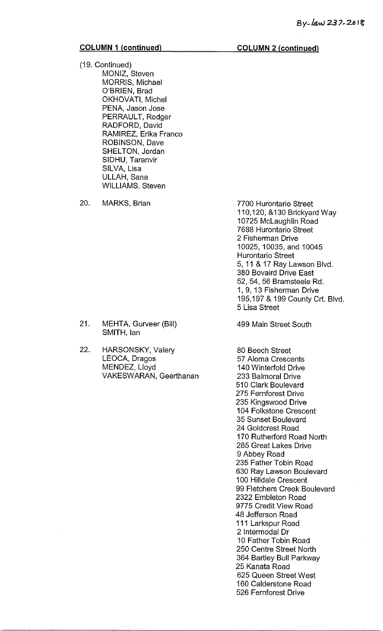(19. Continued) MONIZ, Steven MORRIS, Michael O'BRIEN, Brad OKHOVATI, Michel PENA, Jason Jose PERRAULT, Rodger RADFORD, David RAMIREZ, Erika Franco ROBINSON, Dave SHELTON, Jordan SIDHU, Taranvir SILVA, Lisa ULLAH, Sana WILLIAMS, Steven

20. MARKS, Brian

7700 Hurontario Street 110,120, &130 Brickyard Way 10725 McLaughlin Road 7688 Hurontario Street 2 Fisherman Drive 10025, 10035, and 10045 Hurontario Street 5, 11 & 17 Ray Lawson Blvd. 380 Bovaird Drive East 52, 54, 56 Bramsteele Rd. 1, 9, 13 Fisherman Drive 195,197 & 199 County Crt. Blvd. 5 Lisa Street

499 Main Street South

80 Beech Street 57 Aloma Crescents 140 Winterfold Drive 233 Balmoral Drive 510 Clark Boulevard 275 Fernforest Drive 235 Kingswood Drive 104 Folkstone Crescent 35 Sunset Boulevard 24 Goldcrest Road 170 Rutherford Road North 285 Great Lakes Drive 9 Abbey Road 235 Father Tobin Road 630 Ray Lawson Boulevard 100 Hilldale Crescent 99 Fletchers Creek Boulevard 2322 Embleton Road 9775 Credit View Road 48 Jefferson Road 111 Larkspur Road 2 Intermodal Dr 10 Father Tobin Road 250 Centre Street North 364 Bartley Bull Parkway 25 Kanata Road 625 Queen Street West 160 Calderstone Road 526 Fernforest Drive

- 21. MEHTA, Gurveer (Bill) SMITH, Ian
- 22. HARSONSKY, Valery LEOCA, Dragos MENDEZ, Lloyd VAKESWARAN, Geerthanan

COLUMN 2 (continued)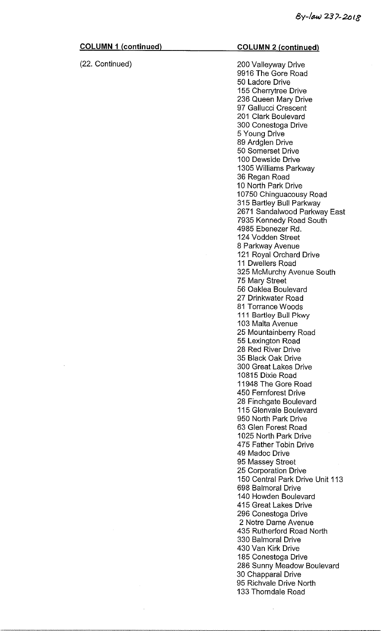| <b>COLUMN 1 (continued)</b> | <b>COLUMN 2 (continued)</b>                  |
|-----------------------------|----------------------------------------------|
| (22. Continued)             | 200 Valleyway Drive                          |
|                             | 9916 The Gore Road                           |
|                             | 50 Ladore Drive                              |
|                             | 155 Cherrytree Drive                         |
|                             | 236 Queen Mary Drive                         |
|                             | 97 Gallucci Crescent                         |
|                             | 201 Clark Boulevard                          |
|                             | 300 Conestoga Drive                          |
|                             | 5 Young Drive                                |
|                             | 89 Ardglen Drive                             |
|                             | 50 Somerset Drive                            |
|                             | 100 Dewside Drive                            |
|                             | 1305 Williams Parkway                        |
|                             | 36 Regan Road                                |
|                             | 10 North Park Drive                          |
|                             |                                              |
|                             | 10750 Chinguacousy Road                      |
|                             | 315 Bartley Bull Parkway                     |
|                             | 2671 Sandalwood Parkway East                 |
|                             | 7935 Kennedy Road South<br>4985 Ebenezer Rd. |
|                             | 124 Vodden Street                            |
|                             |                                              |
|                             | 8 Parkway Avenue                             |
|                             | 121 Royal Orchard Drive<br>11 Dwellers Road  |
|                             |                                              |
|                             | 325 McMurchy Avenue South                    |
|                             | 75 Mary Street<br>56 Oaklea Boulevard        |
|                             | 27 Drinkwater Road                           |
|                             |                                              |
|                             | 81 Torrance Woods                            |
|                             | 111 Bartley Bull Pkwy                        |
|                             | 103 Malta Avenue                             |
|                             | 25 Mountainberry Road                        |
|                             | 55 Lexington Road<br>28 Red River Drive      |
|                             | 35 Black Oak Drive                           |
|                             |                                              |
|                             | 300 Great Lakes Drive                        |
|                             | 10815 Dixie Road                             |
|                             | 11948 The Gore Road                          |
|                             | 450 Fernforest Drive                         |
|                             | 28 Finchgate Boulevard                       |
|                             | 115 Glenvale Boulevard                       |
|                             | 950 North Park Drive                         |
|                             | 63 Glen Forest Road                          |
|                             | 1025 North Park Drive                        |
|                             | 475 Father Tobin Drive                       |
|                             | 49 Madoc Drive                               |
|                             | 95 Massey Street                             |
|                             | 25 Corporation Drive                         |
|                             | 150 Central Park Drive Unit 113              |
|                             | 698 Balmoral Drive                           |
|                             | 140 Howden Boulevard                         |
|                             | 415 Great Lakes Drive                        |
|                             | 296 Conestoga Drive                          |
|                             | 2 Notre Dame Avenue                          |
|                             | 435 Rutherford Road North                    |
|                             | 330 Balmoral Drive                           |
|                             | 430 Van Kirk Drive                           |
|                             | 185 Conestoga Drive                          |
|                             | 286 Sunny Meadow Boulevard                   |
|                             | 30 Chapparal Drive                           |

 $\sim 10^{11}$  km s  $^{-1}$ 

95 Richvale Drive North 133 Thorndale Road

 $\mathcal{A}^{\mathcal{A}}$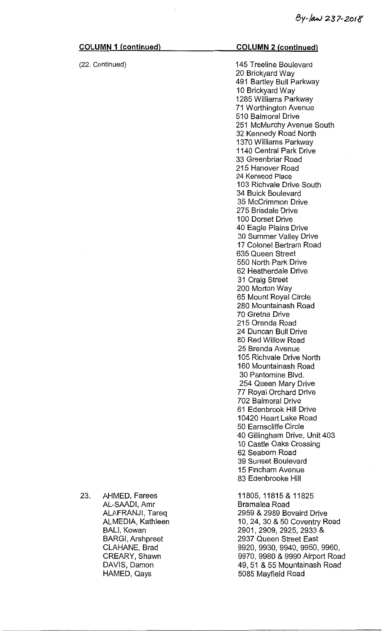23. AHMED, Farees

AL-SAADI, Amr ALAFRANJI, Tareq ALMEDIA, Kathleen

BALI, Kowan

BARGI, Arshpreet CLAHANE, Brad CREARY, Shawn DAVIS, Damon HAMED, Qays

(22. Continued)

# COLUMN 2 (continued)

145 Treeline Boulevard 20 Brickyard Way 491 Bartley Bull Parkway 10 Brickyard Way 1285 Williams Parkway 71 Worthington Avenue 510 Balmoral Drive 251 McMurchy Avenue South 32 Kennedy Road North 1370 Williams Parkway 1140 Central Park Drive 33 Greenbriar Road 215 Hanover Road 24 Kerwood Place 103 Richvale Drive South 34 Buick Boulevard 35 McCrimmon Drive 275 Brisdale Drive 100 Dorset Drive 40 Eagle Plains Drive 30 Summer Valley Drive 17 Colonel Bertram Road 635 Queen Street 550 North Park Drive 62 Heatherdale Drive 31 Craig Street 200 Morton Way 65 Mount Royal Circle 280 Mountainash Road 70 Gretna Drive 215 Orenda Road 24 Duncan Bull Drive 80 Red Willow Road 25 Brenda Avenue 105 Richvale Drive North 160 Mountainash Road 30 Pantomine Blvd. 254 Queen Mary Drive 77 Royal Orchard Drive 702 Balmoral Drive 61 Edenbrook Hill Drive 10420 Heart Lake Road 50 Earnscliffe Circle 40 Gillingham Drive, Unit 403 10 Castle Oaks Crossing 62 Seaborn Road 39 Sunset Boulevard 15 Fincham Avenue 83 Edenbrooke Hill

11805, 11815 & 11825 Bramalea Road 2959 & 2989 Bovaird Drive 10, 24, 30 & 50 Coventry Road 2901, 2909, 2925, 2933 & 2937 Queen Street East 9920, 9930, 9940, 9950, 9960, 9970, 9980 & 9990 Airport Road 49, 51 & 55 Mountainash Road 5085 Mayfield Road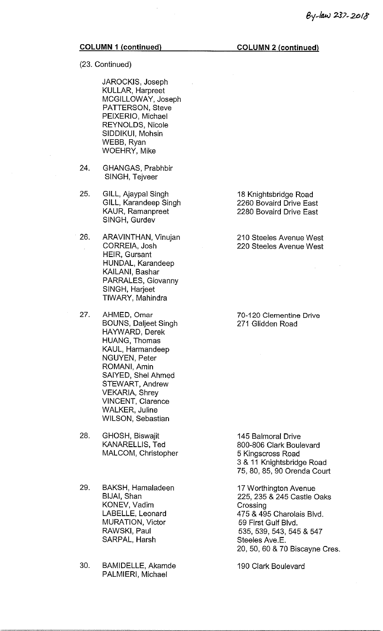(23. Continued)

JAROCKIS, Joseph KULLAR, Harpreet MCGILLOWAY, Joseph PATTERSON, Steve PEIXERIO, Michael REYNOLDS, Nicole SIDDIKUI, Mohsin WEBB, Ryan WOEHRY, Mike

- 24. GHANGAS, Prabhbir SINGH, Tejveer
- 25. GILL, Ajaypal Singh GILL, Karandeep Singh KAUR, Ramanpreet SINGH, Gurdev
- 26. ARAVINTHAN, Vinujan CORREIA, Josh HEIR, Gursant HUNDAL, Karandeep KAILANI, Bashar PARRALES, Giovanny SINGH, Harjeet TIWARY, Mahindra
- 27. AHMED, Omar BOUNS, Daljeet Singh HAYWARD, Derek HUANG, Thomas KAUL, Harmandeep NGUYEN, Peter ROMANI, Amin SAIYED, Shel Ahmed STEWART, Andrew VEKARIA, Shrey VINCENT, Clarence WALKER, Juline WILSON, Sebastian

28. GHOSH, Biswajit KANARELLIS, Ted MALCOM, Christopher

- 29. BAKSH, Hamaladeen BIJAI, Shan KONEV, Vadim LABELLE, Leonard MURATION, Victor RAWSKI, Paul SARPAL, Harsh
- 30. BAMIDELLE, Akamde PALMIERI, Michael

18 Knightsbridge Road 2260 Bovaird Drive East 2280 Bovaird Drive East

210 Steeles Avenue West 220 Steeles Avenue West

70-120 Clementine Drive 271 Glidden Road

145 Balmoral Drive 800-806 Clark Boulevard 5 Kingscross Road 3 & 11 Knightsbridge Road 75, 80, 85, 90 Orenda Court

17 Worthington Avenue 225, 235 & 245 Castle Oaks **Crossing** 475 & 495 Charolais Blvd. 59 First Gulf Blvd. 535, 539, 543, 545 & 547 Steeles Ave.E. 20, 50, 60 & 70 Biscayne Cres.

190 Clark Boulevard

COLUMN 2 (continued)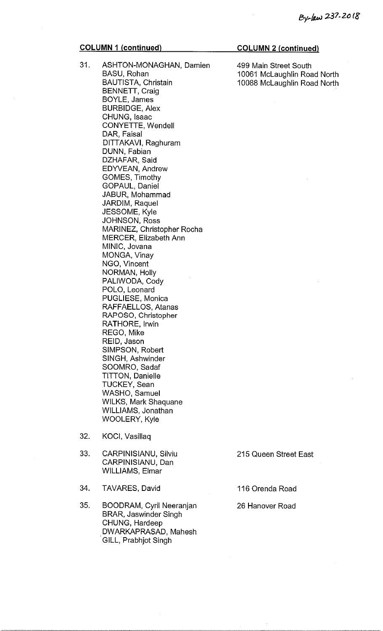## COLUMN 1 (continued) COLUMN 2 (continued)

- 31. ASHTON-MONAGHAN, Damien 499 Main Street South BASU, Rohan 10061 McLaughlin Road North BAUTISTA, Christain 10088 McLaughlin Road North BENNETT, Craig BOYLE, James BURBIDGE, Alex CHUNG, Isaac CONYETTE, Wendell DAR, Faisal DITTAKAVI, Raghuram DUNN, Fabian DZHAFAR, Said EDYVEAN, Andrew GOMES, Timothy GOPAUL, Daniel JABUR, Mohammad JARDIM, Raquel JESSOME, Kyle JOHNSON, Ross MARINEZ, Christopher Rocha MERCER, Elizabeth Ann MINIC, Jovana MONGA, Vinay NGO, Vincent NORMAN, Holly PALIWODA, Cody POLO, Leonard PUGLIESE, Monica RAFFAELLOS, Atanas RAPOSO, Christopher RATHORE, Irwin REGO, Mike REID, Jason SIMPSON, Robert SINGH, Ashwinder SOOMRO, Sadaf TITTON, Danielle TUCKEY, Sean WASHO, Samuel WILKS, Mark Shaquane WILLIAMS, Jonathan WOOLERY, Kyle
- 32. KOCI, Vasillaq
- 33. CARPINISIANU, Silviu 215 Queen Street East CARPINISIANU, Dan WILLIAMS, Elmar
- 34. TAVARES, David 116 Orenda Road
- 35. BOODRAM, Cyril Neeranjan 26 Hanover Road BRAR, Jaswinder Singh CHUNG, Hardeep DWARKAPRASAD, Mahesh [ GILL, Prabhjot Singh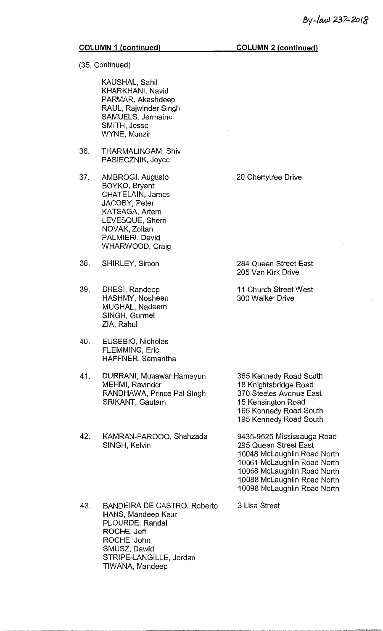(35. Continued)

KAUSHAL, Sahil KHARKHANI, Navid PARMAR, Akashdeep RAUL, Rajwinder Singh SAMUELS, Jermaine SMITH, Jesse WYNE, Munzir

36. THARMALINGAM, Shiv PASIECZNIK, Joyce

37. AMBROGI, Augusto BOYKO, Bryant CHATELAIN, James JACOBY, Peter KATSAGA, Artem LEVESQUE, Sherri NOVAK, Zoltan PALMIERI, David WHARWOOD, Craig

- 38. SHIRLEY, Simon
- 39. DHESI, Randeep HASHMY, Nosheen MUGHAL, Nadeem SINGH, Gurmel ZIA, Rahul
- 40. EUSEBIO, Nicholas FLEMMING, Eric HAFFNER, Samantha
- 41. DURRANI, Munawar Hamayun MEHMI, Ravinder RANDHAWA, Prince Pal Singh SRIKANT, Gautam
- 42. KAMRAN-FAROOQ, Shahzada SINGH, Kelvin
- 43. BANDEIRA DE CASTRO, Roberto HANS, Mandeep Kaur PLOURDE, Randal ROCHE, Jeff ROCHE, John SMUSZ, Dawid STRIPE-LANGILLE, Jordan TIWANA, Mandeep

20 Cherrytree Drive

284 Queen Street East 205 Van Kirk Drive

11 Church Street West 300 Walker Drive

365 Kennedy Road South 18 Knightsbridge Road 370 Steeles Avenue East 15 Kensington Road 165 Kennedy Road South 195 Kennedy Road South

9435-9525 Mississauga Road 295 Queen Street East 10048 McLaughlin Road North 10061 McLaughlin Road North 10068 McLaughlin Road North 10088 McLaughlin Road North 10098 McLaughlin Road North

3 Lisa Street